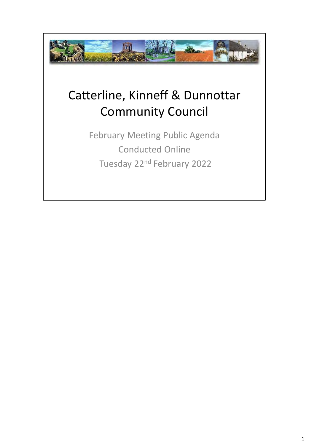

## Catterline, Kinneff & Dunnottar Community Council

February Meeting Public Agenda Conducted Online Tuesday 22nd February 2022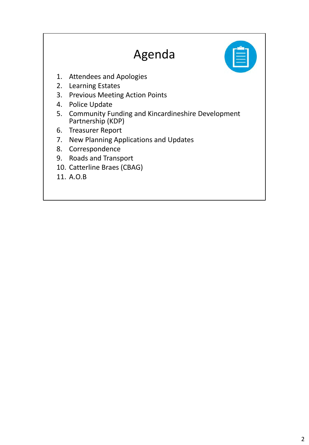## Agenda

- 1. Attendees and Apologies
- 2. Learning Estates
- 3. Previous Meeting Action Points
- 4. Police Update
- 5. Community Funding and Kincardineshire Development Partnership (KDP)
- 6. Treasurer Report
- 7. New Planning Applications and Updates
- 8. Correspondence
- 9. Roads and Transport
- 10. Catterline Braes (CBAG)
- 11. A.O.B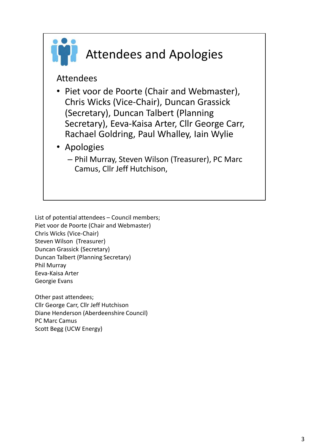

## Attendees and Apologies

Attendees

- Piet voor de Poorte (Chair and Webmaster), Chris Wicks (Vice-Chair), Duncan Grassick (Secretary), Duncan Talbert (Planning Secretary), Eeva-Kaisa Arter, Cllr George Carr, Rachael Goldring, Paul Whalley, Iain Wylie
- Apologies
	- Phil Murray, Steven Wilson (Treasurer), PC Marc Camus, Cllr Jeff Hutchison,

List of potential attendees – Council members; Piet voor de Poorte (Chair and Webmaster) Chris Wicks (Vice-Chair) Steven Wilson (Treasurer) Duncan Grassick (Secretary) Duncan Talbert (Planning Secretary) Phil Murray Eeva-Kaisa Arter Georgie Evans

Other past attendees; Cllr George Carr, Cllr Jeff Hutchison Diane Henderson (Aberdeenshire Council) PC Marc Camus Scott Begg (UCW Energy)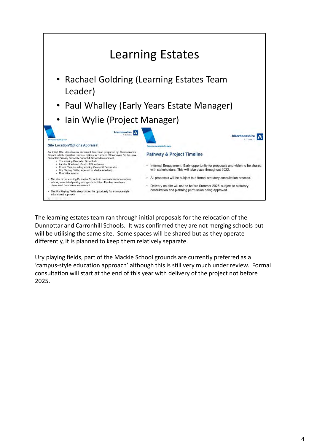

The learning estates team ran through initial proposals for the relocation of the Dunnottar and Carronhill Schools. It was confirmed they are not merging schools but will be utilising the same site. Some spaces will be shared but as they operate differently, it is planned to keep them relatively separate.

Ury playing fields, part of the Mackie School grounds are currently preferred as a 'campus-style education approach' although this is still very much under review. Formal consultation will start at the end of this year with delivery of the project not before 2025.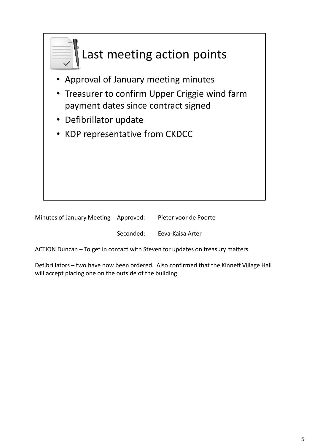

| Minutes of January Meeting Approved: | Pieter voor de Poorte |
|--------------------------------------|-----------------------|
|                                      |                       |

Seconded: Eeva-Kaisa Arter

ACTION Duncan – To get in contact with Steven for updates on treasury matters

Defibrillators – two have now been ordered. Also confirmed that the Kinneff Village Hall will accept placing one on the outside of the building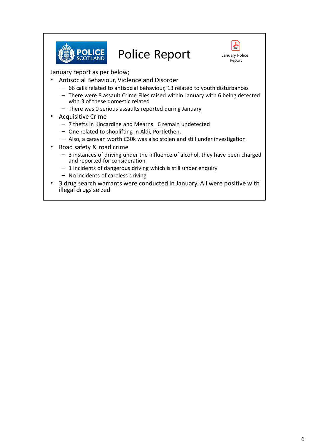

## Police Report



January report as per below;

- Antisocial Behaviour, Violence and Disorder
	- 66 calls related to antisocial behaviour, 13 related to youth disturbances
	- There were 8 assault Crime Files raised within January with 6 being detected with 3 of these domestic related
	- There was 0 serious assaults reported during January
- Acquisitive Crime
	- 7 thefts in Kincardine and Mearns. 6 remain undetected
	- One related to shoplifting in Aldi, Portlethen.
	- Also, a caravan worth £30k was also stolen and still under investigation
- Road safety & road crime
	- 3 instances of driving under the influence of alcohol, they have been charged and reported for consideration
	- $-1$  Incidents of dangerous driving which is still under enquiry
	- No incidents of careless driving
- 3 drug search warrants were conducted in January. All were positive with illegal drugs seized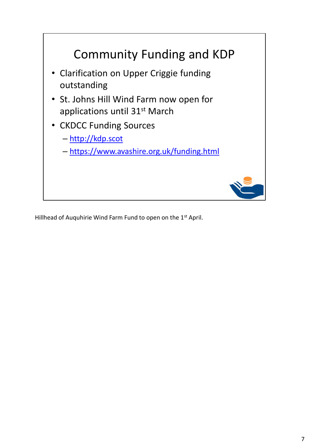

Hillhead of Auquhirie Wind Farm Fund to open on the 1st April.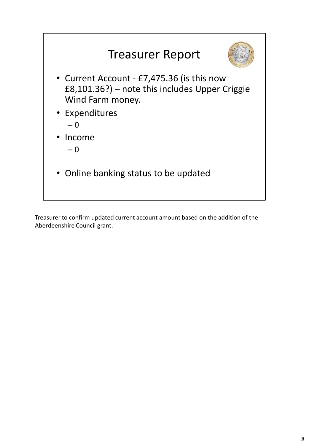

Treasurer to confirm updated current account amount based on the addition of the Aberdeenshire Council grant.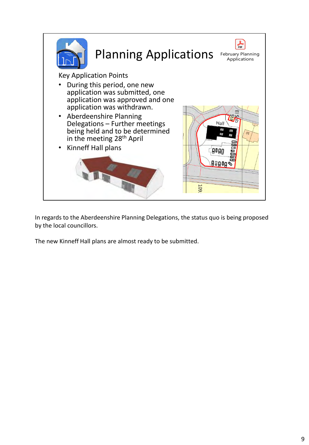

In regards to the Aberdeenshire Planning Delegations, the status quo is being proposed by the local councillors.

The new Kinneff Hall plans are almost ready to be submitted.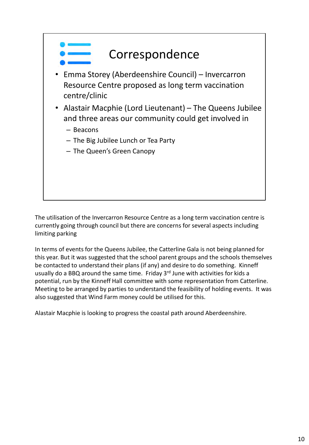

The utilisation of the Invercarron Resource Centre as a long term vaccination centre is currently going through council but there are concerns for several aspects including limiting parking

In terms of events for the Queens Jubilee, the Catterline Gala is not being planned for this year. But it was suggested that the school parent groups and the schools themselves be contacted to understand their plans (if any) and desire to do something. Kinneff usually do a BBQ around the same time. Friday 3<sup>rd</sup> June with activities for kids a potential, run by the Kinneff Hall committee with some representation from Catterline. Meeting to be arranged by parties to understand the feasibility of holding events. It was also suggested that Wind Farm money could be utilised for this.

Alastair Macphie is looking to progress the coastal path around Aberdeenshire.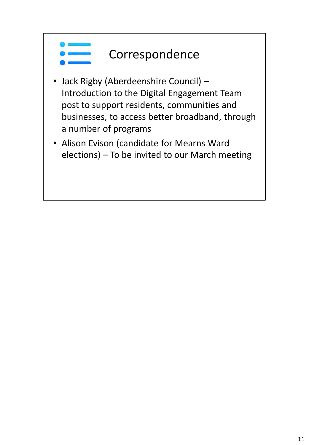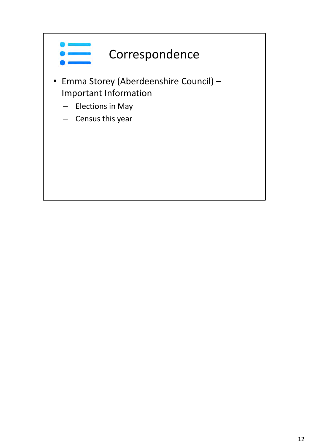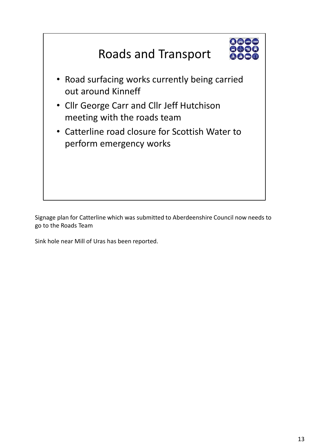

Signage plan for Catterline which was submitted to Aberdeenshire Council now needs to go to the Roads Team

Sink hole near Mill of Uras has been reported.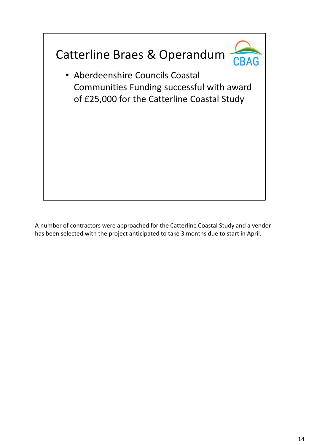

A number of contractors were approached for the Catterline Coastal Study and a vendor has been selected with the project anticipated to take 3 months due to start in April.